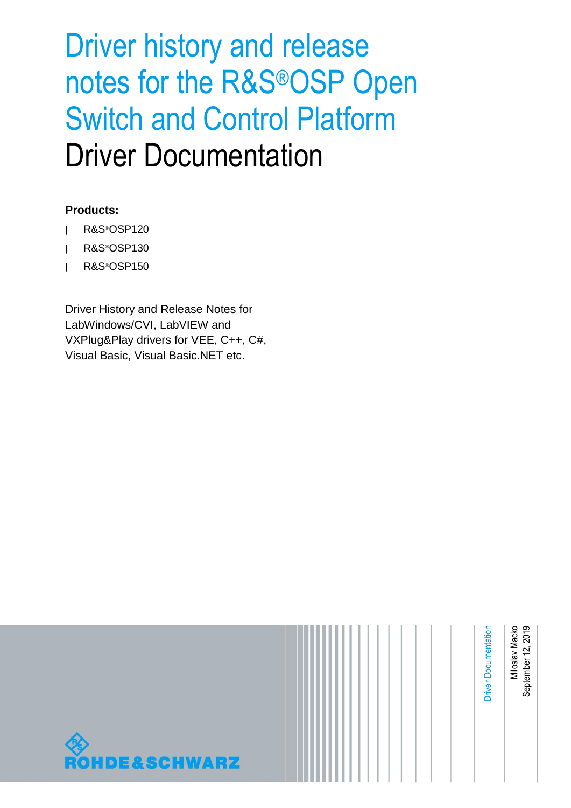# Driver history and release notes for the R&S®OSP Open Switch and Control Platform Driver Documentation

#### **Products:**

- **|** R&S®OSP120
- **|** R&S®OSP130
- **|** R&S®OSP150

Driver History and Release Notes for LabWindows/CVI, LabVIEW and VXPlug&Play drivers for VEE, C++, C#, Visual Basic, Visual Basic.NET etc.

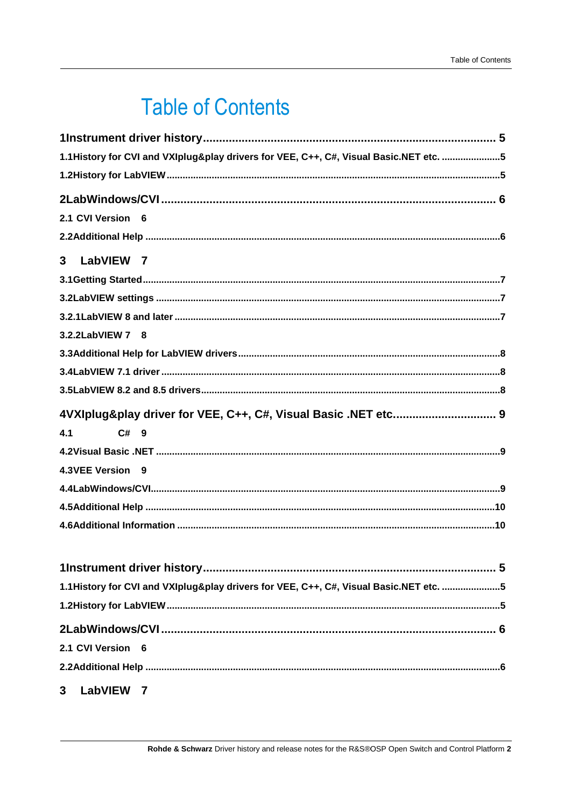## **Table of Contents**

| 1.1History for CVI and VXIplug&play drivers for VEE, C++, C#, Visual Basic.NET etc. 5 |
|---------------------------------------------------------------------------------------|
|                                                                                       |
|                                                                                       |
| 2.1 CVI Version 6                                                                     |
|                                                                                       |
| 3<br>LabVIEW 7                                                                        |
|                                                                                       |
|                                                                                       |
|                                                                                       |
| 3.2.2LabVIEW 7 8                                                                      |
|                                                                                       |
|                                                                                       |
|                                                                                       |
| 4VXIplug&play driver for VEE, C++, C#, Visual Basic .NET etc 9                        |
| 4.1<br>$C#$ 9                                                                         |
|                                                                                       |
| 4.3VEE Version 9                                                                      |
|                                                                                       |
|                                                                                       |
|                                                                                       |
|                                                                                       |
|                                                                                       |
|                                                                                       |
| 1.1History for CVI and VXIplug&play drivers for VEE, C++, C#, Visual Basic.NET etc. 5 |
|                                                                                       |
|                                                                                       |
| 2.1 CVI Version 6                                                                     |

 $\overline{3}$ LabVIEW 7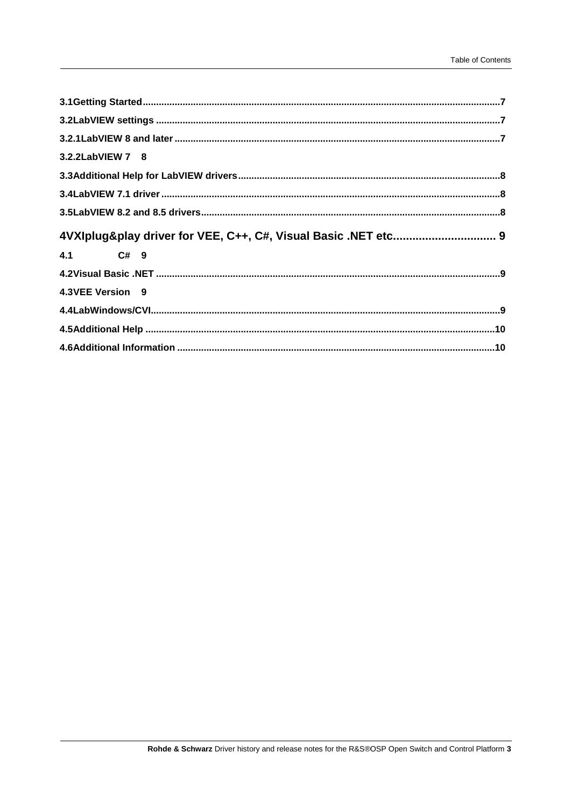| 3.2.2LabVIEW 7 8                                               |  |
|----------------------------------------------------------------|--|
|                                                                |  |
|                                                                |  |
|                                                                |  |
|                                                                |  |
| 4VXIplug&play driver for VEE, C++, C#, Visual Basic .NET etc 9 |  |
| 4.1 C# 9                                                       |  |
|                                                                |  |
| 4.3VEE Version 9                                               |  |
|                                                                |  |
|                                                                |  |
|                                                                |  |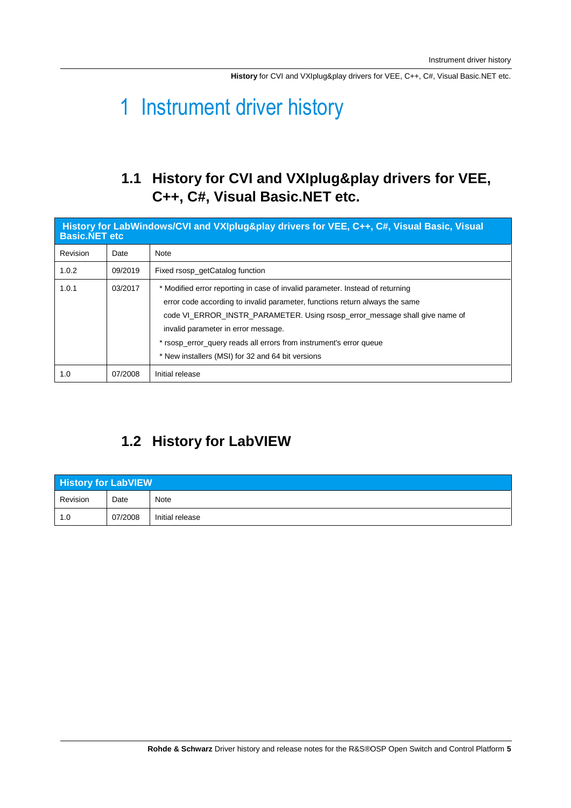**History** for CVI and VXIplug&play drivers for VEE, C++, C#, Visual Basic.NET etc.

### <span id="page-4-0"></span>1 Instrument driver history

#### <span id="page-4-1"></span>**1.1 History for CVI and VXIplug&play drivers for VEE, C++, C#, Visual Basic.NET etc.**

| History for LabWindows/CVI and VXIplug&play drivers for VEE, C++, C#, Visual Basic, Visual<br><b>Basic.NET etc.</b> |         |                                                                                                                                                                                                                                                                                                                                                                                                               |  |  |  |
|---------------------------------------------------------------------------------------------------------------------|---------|---------------------------------------------------------------------------------------------------------------------------------------------------------------------------------------------------------------------------------------------------------------------------------------------------------------------------------------------------------------------------------------------------------------|--|--|--|
| Revision                                                                                                            | Date    | Note                                                                                                                                                                                                                                                                                                                                                                                                          |  |  |  |
| 1.0.2                                                                                                               | 09/2019 | Fixed rsosp getCatalog function                                                                                                                                                                                                                                                                                                                                                                               |  |  |  |
| 1.0.1                                                                                                               | 03/2017 | * Modified error reporting in case of invalid parameter. Instead of returning<br>error code according to invalid parameter, functions return always the same<br>code VI_ERROR_INSTR_PARAMETER. Using rsosp_error_message shall give name of<br>invalid parameter in error message.<br>* rsosp error query reads all errors from instrument's error queue<br>* New installers (MSI) for 32 and 64 bit versions |  |  |  |
| 1.0                                                                                                                 | 07/2008 | Initial release                                                                                                                                                                                                                                                                                                                                                                                               |  |  |  |

### <span id="page-4-2"></span>**1.2 History for LabVIEW**

| <b>History for LabVIEW</b> |         |                 |  |  |
|----------------------------|---------|-----------------|--|--|
| Revision                   | Date    | Note            |  |  |
| 1.0                        | 07/2008 | Initial release |  |  |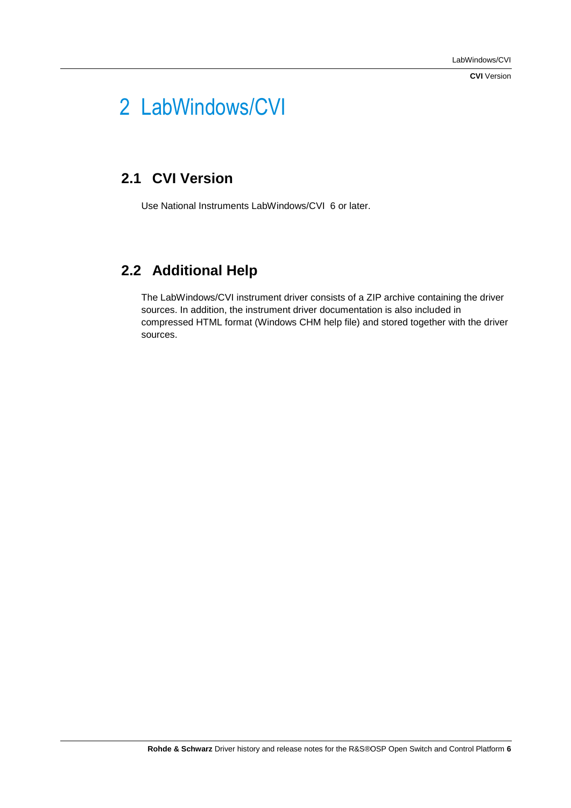**CVI** Version

## <span id="page-5-0"></span>2 LabWindows/CVI

#### <span id="page-5-1"></span>**2.1 CVI Version**

<span id="page-5-2"></span>Use National Instruments LabWindows/CVI 6 or later.

### **2.2 Additional Help**

The LabWindows/CVI instrument driver consists of a ZIP archive containing the driver sources. In addition, the instrument driver documentation is also included in compressed HTML format (Windows CHM help file) and stored together with the driver sources.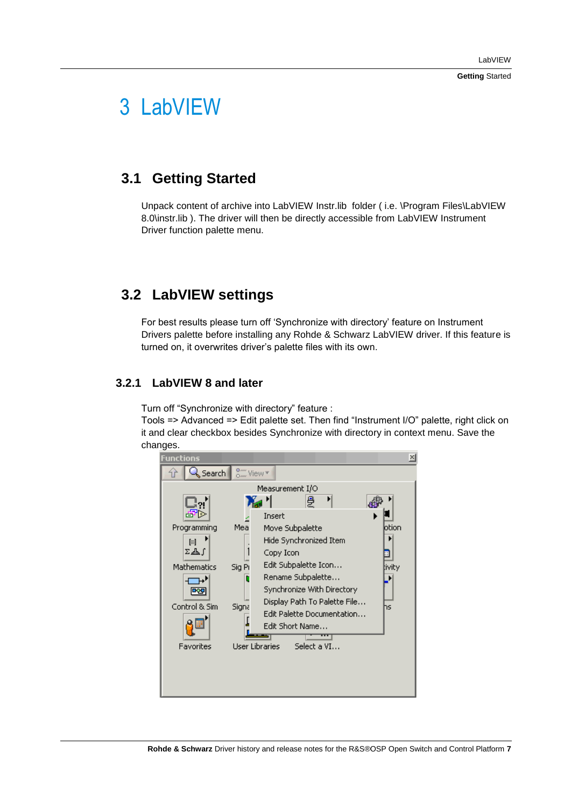**Getting** Started

### <span id="page-6-0"></span>3 LabVIEW

#### <span id="page-6-1"></span>**3.1 Getting Started**

<span id="page-6-2"></span>Unpack content of archive into LabVIEW Instr.lib folder ( i.e. \Program Files\LabVIEW 8.0\instr.lib ). The driver will then be directly accessible from LabVIEW Instrument Driver function palette menu.

#### **3.2 LabVIEW settings**

For best results please turn off 'Synchronize with directory' feature on Instrument Drivers palette before installing any Rohde & Schwarz LabVIEW driver. If this feature is turned on, it overwrites driver's palette files with its own.

#### <span id="page-6-3"></span>**3.2.1 LabVIEW 8 and later**

Turn off "Synchronize with directory" feature :

Tools => Advanced => Edit palette set. Then find "Instrument I/O" palette, right click on it and clear checkbox besides Synchronize with directory in context menu. Save the changes.

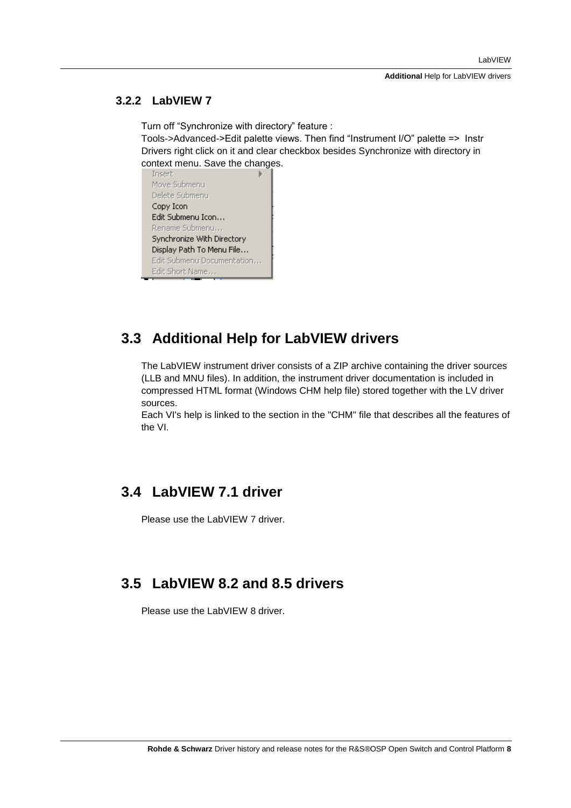**Additional** Help for LabVIEW drivers

#### <span id="page-7-0"></span>**3.2.2 LabVIEW 7**

Turn off "Synchronize with directory" feature :

Tools->Advanced->Edit palette views. Then find "Instrument I/O" palette => Instr Drivers right click on it and clear checkbox besides Synchronize with directory in context menu. Save the changes.<br>
Insert



#### <span id="page-7-1"></span>**3.3 Additional Help for LabVIEW drivers**

The LabVIEW instrument driver consists of a ZIP archive containing the driver sources (LLB and MNU files). In addition, the instrument driver documentation is included in compressed HTML format (Windows CHM help file) stored together with the LV driver sources.

<span id="page-7-2"></span>Each VI's help is linked to the section in the "CHM" file that describes all the features of the VI.

#### **3.4 LabVIEW 7.1 driver**

<span id="page-7-3"></span>Please use the LabVIEW 7 driver.

#### **3.5 LabVIEW 8.2 and 8.5 drivers**

Please use the LabVIEW 8 driver.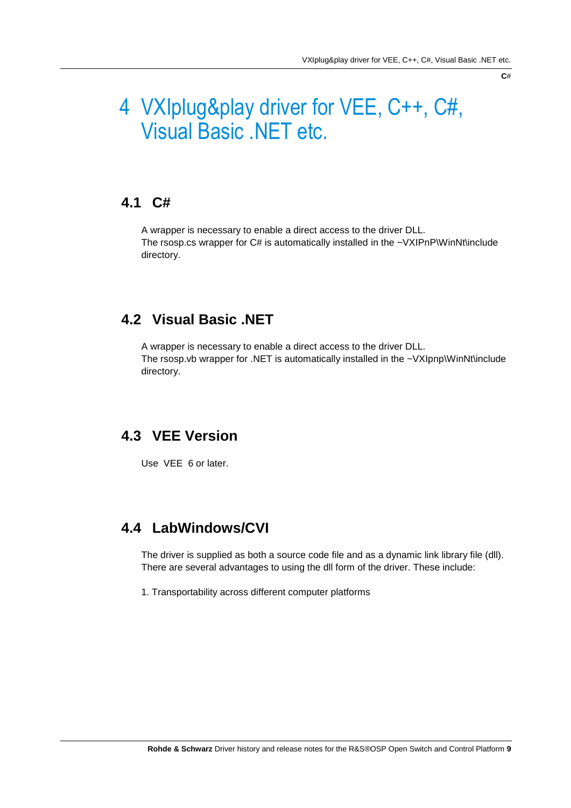#### **C**#

### <span id="page-8-0"></span>4 VXIplug&play driver for VEE, C++, C#, Visual Basic .NET etc.

#### <span id="page-8-1"></span>**4.1 C#**

<span id="page-8-2"></span>A wrapper is necessary to enable a direct access to the driver DLL. The rsosp.cs wrapper for C# is automatically installed in the ~VXIPnP\WinNt\include directory.

#### **4.2 Visual Basic .NET**

<span id="page-8-3"></span>A wrapper is necessary to enable a direct access to the driver DLL. The rsosp.vb wrapper for .NET is automatically installed in the ~VXIpnp\WinNt\include directory.

#### **4.3 VEE Version**

<span id="page-8-4"></span>Use VEE 6 or later.

#### **4.4 LabWindows/CVI**

The driver is supplied as both a source code file and as a dynamic link library file (dll). There are several advantages to using the dll form of the driver. These include:

1. Transportability across different computer platforms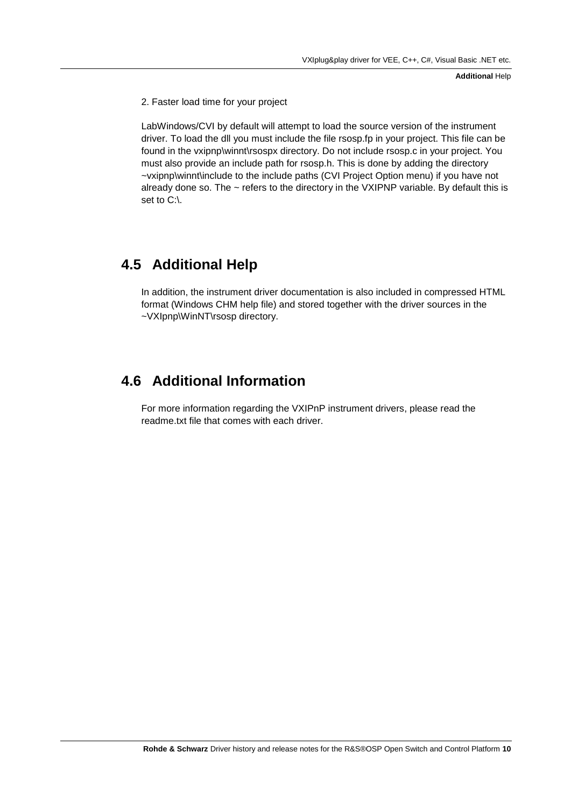**Additional** Help

2. Faster load time for your project

LabWindows/CVI by default will attempt to load the source version of the instrument driver. To load the dll you must include the file rsosp.fp in your project. This file can be found in the vxipnp\winnt\rsospx directory. Do not include rsosp.c in your project. You must also provide an include path for rsosp.h. This is done by adding the directory ~vxipnp\winnt\include to the include paths (CVI Project Option menu) if you have not already done so. The  $\sim$  refers to the directory in the VXIPNP variable. By default this is set to C:\.

#### <span id="page-9-0"></span>**4.5 Additional Help**

<span id="page-9-1"></span>In addition, the instrument driver documentation is also included in compressed HTML format (Windows CHM help file) and stored together with the driver sources in the ~VXIpnp\WinNT\rsosp directory.

#### **4.6 Additional Information**

For more information regarding the VXIPnP instrument drivers, please read the readme.txt file that comes with each driver.